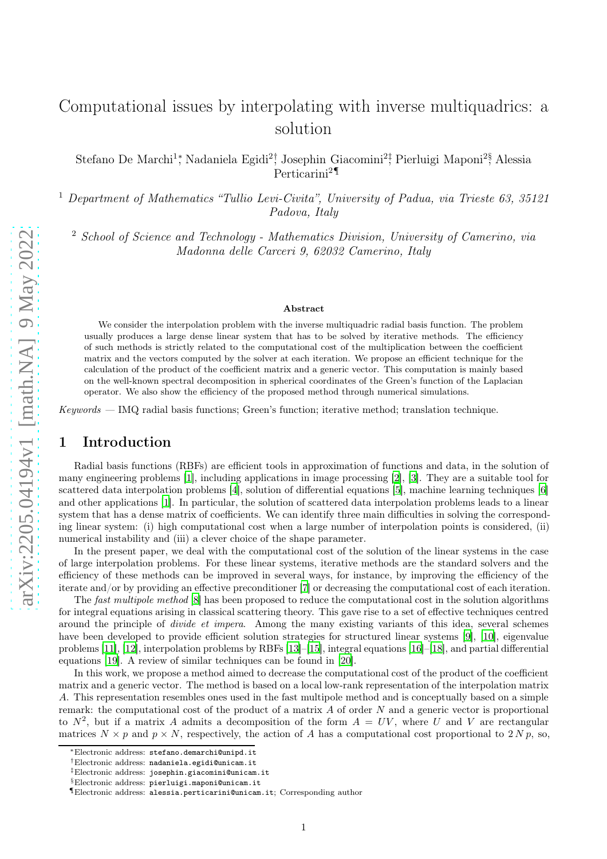# <span id="page-0-0"></span>Computational issues by interpolating with inverse multiquadrics: a solution

Stefano De Marchi<sup>1</sup>,\* Nadaniela Egidi<sup>2</sup><sup>†</sup>, Josephin Giacomini<sup>2</sup>;<sup>†</sup> Pierluigi Maponi<sup>2§</sup>, Alessia Perticarini<sup>2</sup>¶

<sup>1</sup> Department of Mathematics "Tullio Levi-Civita", University of Padua, via Trieste 63, 35121 Padova, Italy

<sup>2</sup> School of Science and Technology - Mathematics Division, University of Camerino, via Madonna delle Carceri 9, 62032 Camerino, Italy

#### Abstract

We consider the interpolation problem with the inverse multiquadric radial basis function. The problem usually produces a large dense linear system that has to be solved by iterative methods. The efficiency of such methods is strictly related to the computational cost of the multiplication between the coefficient matrix and the vectors computed by the solver at each iteration. We propose an efficient technique for the calculation of the product of the coefficient matrix and a generic vector. This computation is mainly based on the well-known spectral decomposition in spherical coordinates of the Green's function of the Laplacian operator. We also show the efficiency of the proposed method through numerical simulations.

*Keywords —* IMQ radial basis functions; Green's function; iterative method; translation technique.

# 1 Introduction

Radial basis functions (RBFs) are efficient tools in approximation of functions and data, in the solution of many engineering problems [\[1\]](#page-8-0), including applications in image processing [\[2](#page-8-1)], [\[3](#page-8-2)]. They are a suitable tool for scattered data interpolation problems [\[4\]](#page-8-3), solution of differential equations [\[5\]](#page-8-4), machine learning techniques [\[6\]](#page-8-5) and other applications [\[1\]](#page-8-0). In particular, the solution of scattered data interpolation problems leads to a linear system that has a dense matrix of coefficients. We can identify three main difficulties in solving the corresponding linear system: (i) high computational cost when a large number of interpolation points is considered, (ii) numerical instability and (iii) a clever choice of the shape parameter.

In the present paper, we deal with the computational cost of the solution of the linear systems in the case of large interpolation problems. For these linear systems, iterative methods are the standard solvers and the efficiency of these methods can be improved in several ways, for instance, by improving the efficiency of the iterate and/or by providing an effective preconditioner [\[7\]](#page-8-6) or decreasing the computational cost of each iteration.

The *fast multipole method* [\[8\]](#page-8-7) has been proposed to reduce the computational cost in the solution algorithms for integral equations arising in classical scattering theory. This gave rise to a set of effective techniques centred around the principle of *divide et impera*. Among the many existing variants of this idea, several schemes have been developed to provide efficient solution strategies for structured linear systems [\[9](#page-9-0)], [\[10\]](#page-9-1), eigenvalue problems [\[11](#page-9-2)], [\[12\]](#page-9-3), interpolation problems by RBFs [\[13\]](#page-9-4)–[\[15](#page-9-5)], integral equations [\[16](#page-9-6)]–[\[18\]](#page-9-7), and partial differential equations [\[19\]](#page-9-8). A review of similar techniques can be found in [\[20\]](#page-9-9).

In this work, we propose a method aimed to decrease the computational cost of the product of the coefficient matrix and a generic vector. The method is based on a local low-rank representation of the interpolation matrix A. This representation resembles ones used in the fast multipole method and is conceptually based on a simple remark: the computational cost of the product of a matrix  $A$  of order  $N$  and a generic vector is proportional to  $N^2$ , but if a matrix A admits a decomposition of the form  $A = UV$ , where U and V are rectangular matrices  $N \times p$  and  $p \times N$ , respectively, the action of A has a computational cost proportional to 2 N p, so,

<sup>∗</sup>Electronic address: stefano.demarchi@unipd.it

<sup>†</sup>Electronic address: nadaniela.egidi@unicam.it

<sup>‡</sup>Electronic address: josephin.giacomini@unicam.it

<sup>§</sup>Electronic address: pierluigi.maponi@unicam.it

<sup>¶</sup>Electronic address: alessia.perticarini@unicam.it; Corresponding author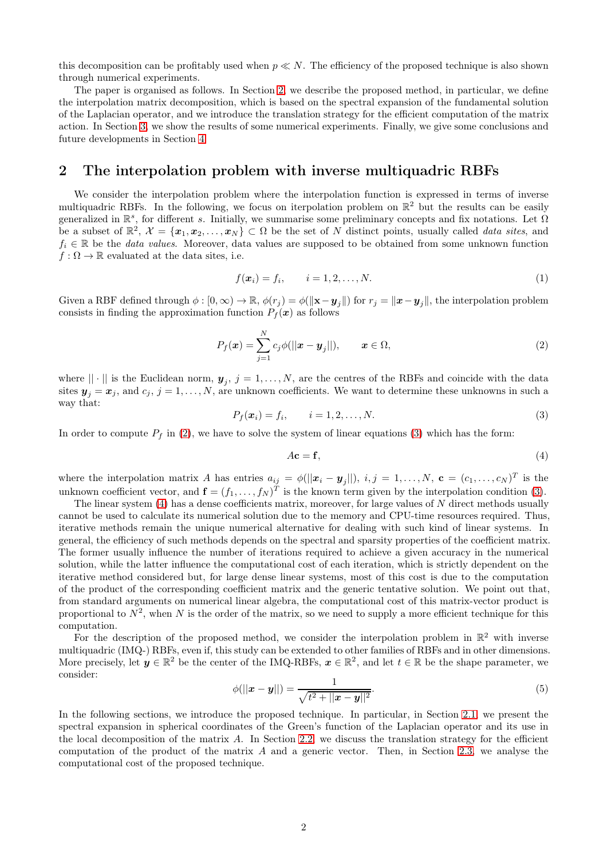this decomposition can be profitably used when  $p \ll N$ . The efficiency of the proposed technique is also shown through numerical experiments.

The paper is organised as follows. In Section [2,](#page-1-0) we describe the proposed method, in particular, we define the interpolation matrix decomposition, which is based on the spectral expansion of the fundamental solution of the Laplacian operator, and we introduce the translation strategy for the efficient computation of the matrix action. In Section [3,](#page-7-0) we show the results of some numerical experiments. Finally, we give some conclusions and future developments in Section [4.](#page-7-1)

### <span id="page-1-0"></span>2 The interpolation problem with inverse multiquadric RBFs

We consider the interpolation problem where the interpolation function is expressed in terms of inverse multiquadric RBFs. In the following, we focus on iterpolation problem on  $\mathbb{R}^2$  but the results can be easily generalized in  $\mathbb{R}^s$ , for different s. Initially, we summarise some preliminary concepts and fix notations. Let  $\Omega$ be a subset of  $\mathbb{R}^2$ ,  $\mathcal{X} = {\mathbf{x}_1, \mathbf{x}_2, ..., \mathbf{x}_N} \subset \Omega$  be the set of N distinct points, usually called *data sites*, and <sup>f</sup><sup>i</sup> <sup>∈</sup> <sup>R</sup> be the *data values*. Moreover, data values are supposed to be obtained from some unknown function  $f : \Omega \to \mathbb{R}$  evaluated at the data sites, i.e.

$$
f(\boldsymbol{x}_i) = f_i, \qquad i = 1, 2, \dots, N. \tag{1}
$$

Given a RBF defined through  $\phi : [0, \infty) \to \mathbb{R}$ ,  $\phi(r_j) = \phi(||\mathbf{x}-\mathbf{y}_j||)$  for  $r_j = ||\mathbf{x}-\mathbf{y}_j||$ , the interpolation problem consists in finding the approximation function  $P_f(x)$  as follows

<span id="page-1-1"></span>
$$
P_f(\boldsymbol{x}) = \sum_{j=1}^N c_j \phi(||\boldsymbol{x} - \boldsymbol{y}_j||), \qquad \boldsymbol{x} \in \Omega,
$$
\n(2)

where  $\|\cdot\|$  is the Euclidean norm,  $y_j$ ,  $j = 1, \ldots, N$ , are the centres of the RBFs and coincide with the data sites  $y_j = x_j$ , and  $c_j$ ,  $j = 1, ..., N$ , are unknown coefficients. We want to determine these unknowns in such a way that:

<span id="page-1-2"></span>
$$
P_f(\boldsymbol{x}_i) = f_i, \qquad i = 1, 2, \dots, N. \tag{3}
$$

In order to compute  $P_f$  in [\(2\)](#page-1-1), we have to solve the system of linear equations [\(3\)](#page-1-2) which has the form:

<span id="page-1-3"></span>
$$
A\mathbf{c} = \mathbf{f},\tag{4}
$$

where the interpolation matrix A has entries  $a_{ij} = \phi(||\boldsymbol{x}_i - \boldsymbol{y}_j||)$ ,  $i, j = 1, ..., N$ ,  $\mathbf{c} = (c_1, ..., c_N)^T$  is the unknown coefficient vector, and  $\mathbf{f} = (f_1, \ldots, f_N)^T$  is the known term given by the interpolation condition [\(3\)](#page-1-2).

The linear system [\(4\)](#page-1-3) has a dense coefficients matrix, moreover, for large values of N direct methods usually cannot be used to calculate its numerical solution due to the memory and CPU-time resources required. Thus, iterative methods remain the unique numerical alternative for dealing with such kind of linear systems. In general, the efficiency of such methods depends on the spectral and sparsity properties of the coefficient matrix. The former usually influence the number of iterations required to achieve a given accuracy in the numerical solution, while the latter influence the computational cost of each iteration, which is strictly dependent on the iterative method considered but, for large dense linear systems, most of this cost is due to the computation of the product of the corresponding coefficient matrix and the generic tentative solution. We point out that, from standard arguments on numerical linear algebra, the computational cost of this matrix-vector product is proportional to  $N^2$ , when N is the order of the matrix, so we need to supply a more efficient technique for this computation.

For the description of the proposed method, we consider the interpolation problem in  $\mathbb{R}^2$  with inverse multiquadric (IMQ-) RBFs, even if, this study can be extended to other families of RBFs and in other dimensions. More precisely, let  $y \in \mathbb{R}^2$  be the center of the IMQ-RBFs,  $x \in \mathbb{R}^2$ , and let  $t \in \mathbb{R}$  be the shape parameter, we consider:

<span id="page-1-4"></span>
$$
\phi(||\mathbf{x} - \mathbf{y}||) = \frac{1}{\sqrt{t^2 + ||\mathbf{x} - \mathbf{y}||^2}}.
$$
\n(5)

In the following sections, we introduce the proposed technique. In particular, in Section [2.1,](#page-2-0) we present the spectral expansion in spherical coordinates of the Green's function of the Laplacian operator and its use in the local decomposition of the matrix  $A$ . In Section [2.2,](#page-3-0) we discuss the translation strategy for the efficient computation of the product of the matrix A and a generic vector. Then, in Section [2.3,](#page-5-0) we analyse the computational cost of the proposed technique.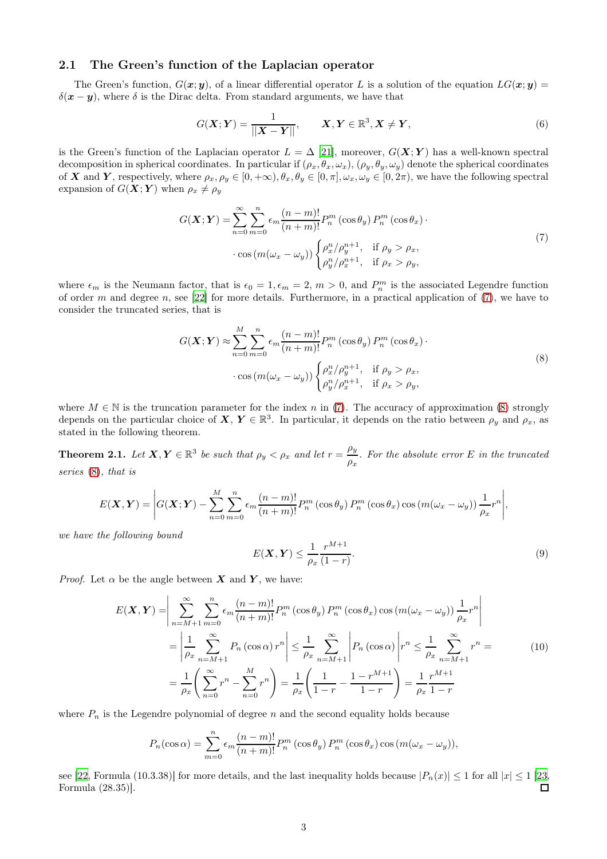### <span id="page-2-4"></span><span id="page-2-0"></span>2.1 The Green's function of the Laplacian operator

The Green's function,  $G(x; y)$ , of a linear differential operator L is a solution of the equation  $LG(x; y)$  $\delta(\mathbf{x}-\mathbf{y})$ , where  $\delta$  is the Dirac delta. From standard arguments, we have that

$$
G(\boldsymbol{X}; \boldsymbol{Y}) = \frac{1}{\|\boldsymbol{X} - \boldsymbol{Y}\|}, \qquad \boldsymbol{X}, \boldsymbol{Y} \in \mathbb{R}^3, \boldsymbol{X} \neq \boldsymbol{Y}, \tag{6}
$$

is the Green's function of the Laplacian operator  $L = \Delta [21]$  $L = \Delta [21]$ , moreover,  $G(X; Y)$  has a well-known spectral decomposition in spherical coordinates. In particular if  $(\rho_x, \theta_x, \omega_x)$ ,  $(\rho_y, \theta_y, \omega_y)$  denote the spherical coordinates of X and Y, respectively, where  $\rho_x, \rho_y \in [0, +\infty), \theta_x, \theta_y \in [0, \pi], \omega_x, \omega_y \in [0, 2\pi)$ , we have the following spectral expansion of  $G(\boldsymbol{X}; \boldsymbol{Y})$  when  $\rho_x \neq \rho_y$ 

<span id="page-2-1"></span>
$$
G(\boldsymbol{X}; \boldsymbol{Y}) = \sum_{n=0}^{\infty} \sum_{m=0}^{n} \epsilon_m \frac{(n-m)!}{(n+m)!} P_n^m(\cos \theta_y) P_n^m(\cos \theta_x) \cdot \cos(m(\omega_x - \omega_y)) \begin{cases} \rho_x^n / \rho_y^{n+1}, & \text{if } \rho_y > \rho_x, \\ \rho_y^n / \rho_x^{n+1}, & \text{if } \rho_x > \rho_y, \end{cases}
$$
(7)

where  $\epsilon_m$  is the Neumann factor, that is  $\epsilon_0 = 1, \epsilon_m = 2, m > 0$ , and  $P_n^m$  is the associated Legendre function of order m and degree n, see [\[22\]](#page-9-11) for more details. Furthermore, in a practical application of  $(7)$ , we have to consider the truncated series, that is

<span id="page-2-2"></span>
$$
G(\boldsymbol{X}; \boldsymbol{Y}) \approx \sum_{n=0}^{M} \sum_{m=0}^{n} \epsilon_m \frac{(n-m)!}{(n+m)!} P_n^m \left(\cos \theta_y\right) P_n^m \left(\cos \theta_x\right) \cdot \\ \cdot \cos \left(m(\omega_x - \omega_y)\right) \begin{cases} \rho_x^n / \rho_y^{n+1}, & \text{if } \rho_y > \rho_x, \\ \rho_y^n / \rho_x^{n+1}, & \text{if } \rho_x > \rho_y, \end{cases} \tag{8}
$$

where  $M \in \mathbb{N}$  is the truncation parameter for the index n in [\(7\)](#page-2-1). The accuracy of approximation [\(8\)](#page-2-2) strongly depends on the particular choice of  $X, Y \in \mathbb{R}^3$ . In particular, it depends on the ratio between  $\rho_y$  and  $\rho_x$ , as stated in the following theorem.

<span id="page-2-3"></span>**Theorem 2.1.** Let  $X, Y \in \mathbb{R}^3$  be such that  $\rho_y < \rho_x$  and let  $r = \frac{\rho_y}{\rho_x}$  $\frac{\mu y}{\rho_x}$ . For the absolute error E in the truncated *series* [\(8\)](#page-2-2)*, that is*

$$
E(\boldsymbol{X}, \boldsymbol{Y}) = \left| G(\boldsymbol{X}; \boldsymbol{Y}) - \sum_{n=0}^{M} \sum_{m=0}^{n} \epsilon_m \frac{(n-m)!}{(n+m)!} P_n^m(\cos \theta_y) P_n^m(\cos \theta_x) \cos (m(\omega_x - \omega_y)) \frac{1}{\rho_x} r^n \right|,
$$

*we have the following bound*

$$
E(\mathbf{X}, \mathbf{Y}) \le \frac{1}{\rho_x} \frac{r^{M+1}}{(1-r)}.
$$
\n(9)

*Proof.* Let  $\alpha$  be the angle between **X** and **Y**, we have:

$$
E(\mathbf{X}, \mathbf{Y}) = \left| \sum_{n=M+1}^{\infty} \sum_{m=0}^{n} \epsilon_m \frac{(n-m)!}{(n+m)!} P_n^m(\cos \theta_y) P_n^m(\cos \theta_x) \cos (m(\omega_x - \omega_y)) \frac{1}{\rho_x} r^n \right|
$$
  
= 
$$
\left| \frac{1}{\rho_x} \sum_{n=M+1}^{\infty} P_n(\cos \alpha) r^n \right| \leq \frac{1}{\rho_x} \sum_{n=M+1}^{\infty} \left| P_n(\cos \alpha) \right| r^n \leq \frac{1}{\rho_x} \sum_{n=M+1}^{\infty} r^n =
$$
  
= 
$$
\frac{1}{\rho_x} \left( \sum_{n=0}^{\infty} r^n - \sum_{n=0}^{M} r^n \right) = \frac{1}{\rho_x} \left( \frac{1}{1-r} - \frac{1 - r^{M+1}}{1-r} \right) = \frac{1}{\rho_x} \frac{r^{M+1}}{1-r}
$$
 (10)

where  $P_n$  is the Legendre polynomial of degree n and the second equality holds because

$$
P_n(\cos \alpha) = \sum_{m=0}^n \epsilon_m \frac{(n-m)!}{(n+m)!} P_n^m(\cos \theta_y) P_n^m(\cos \theta_x) \cos (m(\omega_x - \omega_y)),
$$

see [\[22](#page-9-11), Formula (10.3.38)] for more details, and the last inequality holds because  $|P_n(x)| \le 1$  for all  $|x| \le 1$  [\[23](#page-9-12), Formula (28.35)]. Formula (28.35)].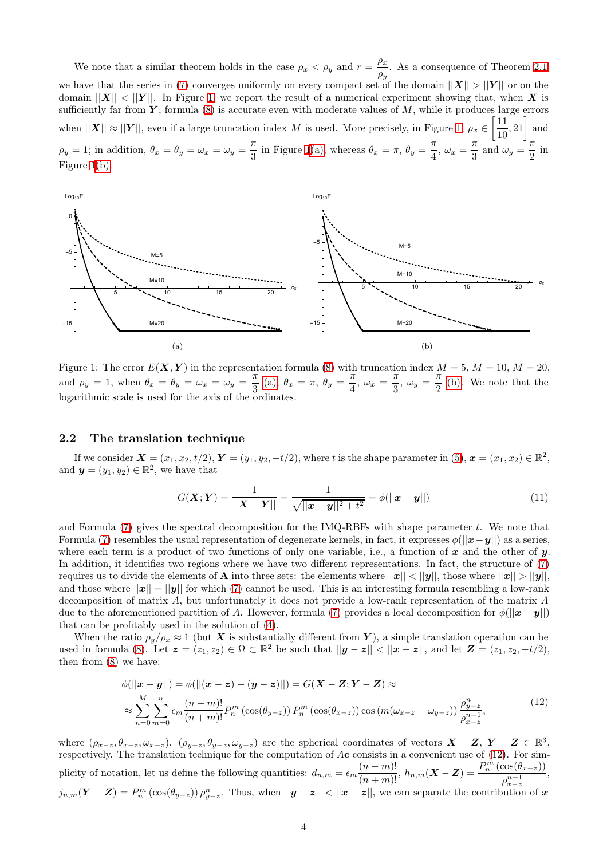We note that a similar theorem holds in the case  $\rho_x < \rho_y$  and  $r = \frac{\rho_x}{\rho_y}$  $\frac{\mu x}{\rho y}$ . As a consequence of Theorem [2.1,](#page-2-3) we have that the series in [\(7\)](#page-2-1) converges uniformly on every compact set of the domain  $||X|| > ||Y||$  or on the domain  $||X|| < ||Y||$ . In Figure [1,](#page-3-1) we report the result of a numerical experiment showing that, when X is sufficiently far from  $\boldsymbol{Y}$ , formula [\(8\)](#page-2-2) is accurate even with moderate values of  $M$ , while it produces large errors when  $||\mathbf{X}|| \approx ||\mathbf{Y}||$ , even if a large truncation index M is used. More precisely, in Figure [1,](#page-3-1)  $\rho_x \in \left[\frac{11}{10}\right]$  $\left[\frac{11}{10}, 21\right]$  and  $\rho_y = 1$ ; in addition,  $\theta_x = \theta_y = \omega_x = \omega_y = \frac{\pi}{2}$  $\frac{\pi}{3}$  in Figure [1](#page-3-1)[\(a\),](#page-3-2) whereas  $\theta_x = \pi$ ,  $\theta_y = \frac{\pi}{4}$  $\frac{\pi}{4}$ ,  $\omega_x = \frac{\pi}{3}$  $\frac{\pi}{3}$  and  $\omega_y = \frac{\pi}{2}$  $rac{1}{2}$  in Figure [1](#page-3-1)[\(b\).](#page-3-3)

<span id="page-3-2"></span><span id="page-3-1"></span>

Figure 1: The error  $E(\mathbf{X}, \mathbf{Y})$  in the representation formula [\(8\)](#page-2-2) with truncation index  $M = 5$ ,  $M = 10$ ,  $M = 20$ , and  $\rho_y = 1$ , when  $\theta_x = \theta_y = \omega_x = \omega_y = \frac{\pi}{2}$  $\frac{\pi}{3}$  [\(a\),](#page-3-2)  $\theta_x = \pi$ ,  $\theta_y = \frac{\pi}{4}$  $\frac{\pi}{4}$ ,  $\omega_x = \frac{\pi}{3}$  $\frac{\pi}{3}, \ \omega_y = \frac{\pi}{2}$  $\frac{\pi}{2}$  [\(b\).](#page-3-3) We note that the logarithmic scale is used for the axis of the ordinates.

#### <span id="page-3-0"></span>2.2 The translation technique

If we consider  $\mathbf{X} = (x_1, x_2, t/2), \mathbf{Y} = (y_1, y_2, -t/2),$  where t is the shape parameter in  $(5), \mathbf{x} = (x_1, x_2) \in \mathbb{R}^2$ , and  $\mathbf{y} = (y_1, y_2) \in \mathbb{R}^2$ , we have that

<span id="page-3-3"></span>
$$
G(\mathbf{X}; \mathbf{Y}) = \frac{1}{||\mathbf{X} - \mathbf{Y}||} = \frac{1}{\sqrt{||\mathbf{x} - \mathbf{y}||^2 + t^2}} = \phi(||\mathbf{x} - \mathbf{y}||)
$$
(11)

and Formula  $(7)$  gives the spectral decomposition for the IMQ-RBFs with shape parameter t. We note that Formula [\(7\)](#page-2-1) resembles the usual representation of degenerate kernels, in fact, it expresses  $\phi(||\mathbf{x}-\mathbf{y}||)$  as a series, where each term is a product of two functions of only one variable, i.e., a function of  $x$  and the other of  $y$ . In addition, it identifies two regions where we have two different representations. In fact, the structure of [\(7\)](#page-2-1) requires us to divide the elements of **A** into three sets: the elements where  $||x|| < ||y||$ , those where  $||x|| > ||y||$ , and those where  $||x|| = ||y||$  for which [\(7\)](#page-2-1) cannot be used. This is an interesting formula resembling a low-rank decomposition of matrix A, but unfortunately it does not provide a low-rank representation of the matrix A due to the aforementioned partition of A. However, formula [\(7\)](#page-2-1) provides a local decomposition for  $\phi(||\mathbf{x}-\mathbf{y}||)$ that can be profitably used in the solution of [\(4\)](#page-1-3).

When the ratio  $\rho_y/\rho_x \approx 1$  (but X is substantially different from Y), a simple translation operation can be used in formula [\(8\)](#page-2-2). Let  $\mathbf{z} = (z_1, z_2) \in \Omega \subset \mathbb{R}^2$  be such that  $||\mathbf{y} - \mathbf{z}|| < ||\mathbf{x} - \mathbf{z}||$ , and let  $\mathbf{Z} = (z_1, z_2, -t/2)$ , then from [\(8\)](#page-2-2) we have:

<span id="page-3-4"></span>
$$
\phi(||\mathbf{x} - \mathbf{y}||) = \phi(||(\mathbf{x} - \mathbf{z}) - (\mathbf{y} - \mathbf{z})||) = G(\mathbf{X} - \mathbf{Z}; \mathbf{Y} - \mathbf{Z}) \approx
$$
\n
$$
\approx \sum_{n=0}^{M} \sum_{m=0}^{n} \epsilon_m \frac{(n-m)!}{(n+m)!} P_n^m \left(\cos(\theta_{y-z})\right) P_n^m \left(\cos(\theta_{x-z})\right) \cos\left(m(\omega_{x-z} - \omega_{y-z})\right) \frac{\rho_{y-z}^n}{\rho_{x-z}^{n+1}},
$$
\n(12)

where  $(\rho_{x-z}, \theta_{x-z}, \omega_{x-z})$ ,  $(\rho_{y-z}, \theta_{y-z}, \omega_{y-z})$  are the spherical coordinates of vectors  $\mathbf{X} - \mathbf{Z}$ ,  $\mathbf{Y} - \mathbf{Z} \in \mathbb{R}^3$ , respectively. The translation technique for the computation of  $A\mathbf{c}$  consists in a convenient use of [\(12\)](#page-3-4). For simplicity of notation, let us define the following quantities:  $d_{n,m} = \epsilon_m \frac{(n-m)!}{(n+m)!}$ ,  $h_{n,m}(\mathbf{X}-\mathbf{Z}) = \frac{P_n^m(\cos(\theta_{x-z}))}{\rho_{x-z}^{n+1}}$  $\rho_{x-z}^{n+1}$ ,  $j_{n,m}(\boldsymbol{Y}-\boldsymbol{Z})=P_n^m\left(\cos(\theta_{y-z})\right)\rho_{y-z}^n$ . Thus, when  $||\boldsymbol{y}-\boldsymbol{z}|| < ||\boldsymbol{x}-\boldsymbol{z}||$ , we can separate the contribution of  $\boldsymbol{x}$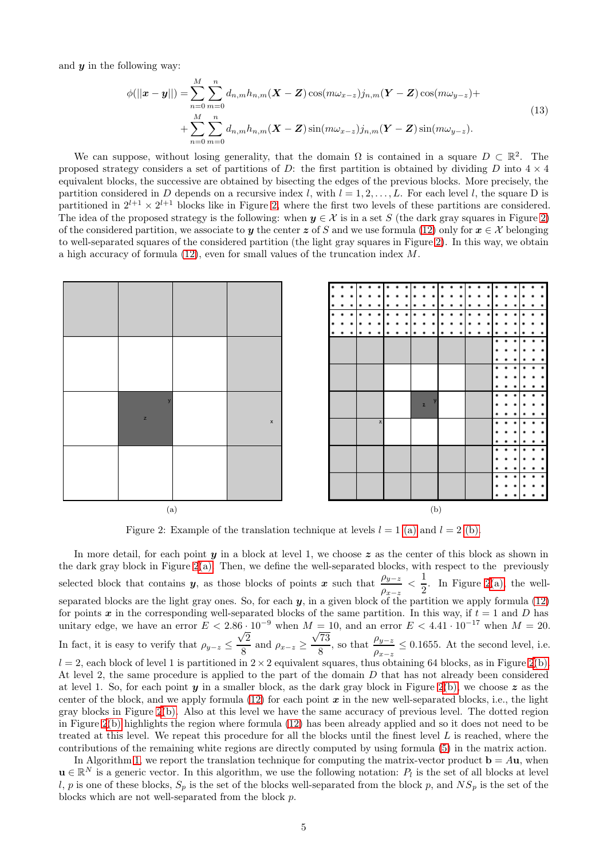and  $\boldsymbol{\mathit{u}}$  in the following way:

<span id="page-4-3"></span>
$$
\phi(||\mathbf{x} - \mathbf{y}||) = \sum_{n=0}^{M} \sum_{m=0}^{n} d_{n,m} h_{n,m}(\mathbf{X} - \mathbf{Z}) \cos(m\omega_{x-z}) j_{n,m}(\mathbf{Y} - \mathbf{Z}) \cos(m\omega_{y-z}) + + \sum_{n=0}^{M} \sum_{m=0}^{n} d_{n,m} h_{n,m}(\mathbf{X} - \mathbf{Z}) \sin(m\omega_{x-z}) j_{n,m}(\mathbf{Y} - \mathbf{Z}) \sin(m\omega_{y-z}).
$$
\n(13)

We can suppose, without losing generality, that the domain  $\Omega$  is contained in a square  $D \subset \mathbb{R}^2$ . The proposed strategy considers a set of partitions of D: the first partition is obtained by dividing D into  $4 \times 4$ equivalent blocks, the successive are obtained by bisecting the edges of the previous blocks. More precisely, the partition considered in D depends on a recursive index l, with  $l = 1, 2, \ldots, L$ . For each level l, the square D is partitioned in  $2^{l+1} \times 2^{l+1}$  blocks like in Figure [2,](#page-4-0) where the first two levels of these partitions are considered. The idea of the proposed strategy is the following: when  $y \in \mathcal{X}$  is in a set S (the dark gray squares in Figure [2\)](#page-4-0) of the considered partition, we associate to y the center z of S and we use formula [\(12\)](#page-3-4) only for  $x \in \mathcal{X}$  belonging to well-separated squares of the considered partition (the light gray squares in Figure [2\)](#page-4-0). In this way, we obtain a high accuracy of formula  $(12)$ , even for small values of the truncation index M.

<span id="page-4-1"></span><span id="page-4-0"></span>

<span id="page-4-2"></span>Figure 2: Example of the translation technique at levels  $l = 1$  [\(a\)](#page-4-1) and  $l = 2$  [\(b\).](#page-4-2)

In more detail, for each point  $y$  in a block at level 1, we choose  $z$  as the center of this block as shown in the dark gray block in Figure [2](#page-4-0)[\(a\).](#page-4-1) Then, we define the well-separated blocks, with respect to the previously selected block that contains y, as those blocks of points x such that  $\frac{\rho_{y-z}}{\rho_{x-z}} < \frac{1}{2}$  $\frac{1}{2}$ . In Figure [2](#page-4-0)[\(a\),](#page-4-1) the wellseparated blocks are the light gray ones. So, for each  $y$ , in a given block of the partition we apply formula  $(12)$ for points x in the corresponding well-separated blocks of the same partition. In this way, if  $t = 1$  and D has unitary edge, we have an error  $E < 2.86 \cdot 10^{-9}$  when  $M = 10$ , and an error  $E < 4.41 \cdot 10^{-17}$  when  $M = 20$ . In fact, it is easy to verify that  $\rho_{y-z} \leq$  $\sqrt{2}$  $\frac{z}{8}$  and  $\rho_{x-z} \ge$  $\sqrt{73}$  $\frac{\sqrt{73}}{8}$ , so that  $\frac{\rho_{y-z}}{\rho_{x-z}} \leq 0.1655$ . At the second level, i.e.  $l = 2$  $l = 2$ , each block of level 1 is partitioned in  $2 \times 2$  equivalent squares, thus obtaining 64 blocks, as in Figure 2[\(b\).](#page-4-2) At level 2, the same procedure is applied to the part of the domain D that has not already been considered at level 1. So, for each point y in a smaller block, as the dark gray block in Figure [2](#page-4-0)[\(b\),](#page-4-2) we choose z as the center of the block, and we apply formula  $(12)$  for each point x in the new well-separated blocks, i.e., the light gray blocks in Figure [2](#page-4-0)[\(b\).](#page-4-2) Also at this level we have the same accuracy of previous level. The dotted region in Figure [2](#page-4-0)[\(b\)](#page-4-2) highlights the region where formula [\(12\)](#page-3-4) has been already applied and so it does not need to be treated at this level. We repeat this procedure for all the blocks until the finest level  $L$  is reached, where the contributions of the remaining white regions are directly computed by using formula [\(5\)](#page-1-4) in the matrix action.

In Algorithm [1,](#page-5-1) we report the translation technique for computing the matrix-vector product  $\mathbf{b} = A\mathbf{u}$ , when  $\mathbf{u} \in \mathbb{R}^N$  is a generic vector. In this algorithm, we use the following notation:  $P_l$  is the set of all blocks at level l, p is one of these blocks,  $S_p$  is the set of the blocks well-separated from the block p, and  $NS_p$  is the set of the blocks which are not well-separated from the block  $p$ .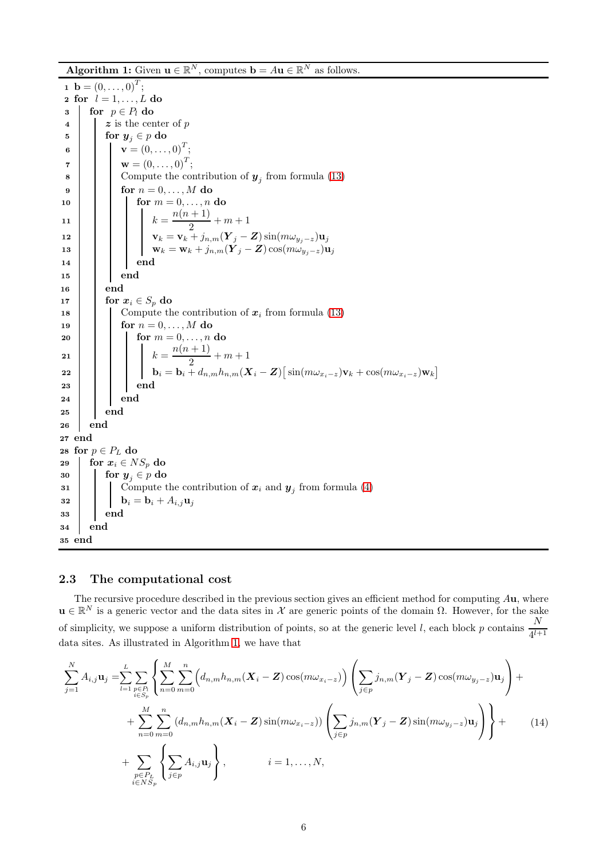**Algorithm 1:** Given  $\mathbf{u} \in \mathbb{R}^N$ , computes  $\mathbf{b} = A\mathbf{u} \in \mathbb{R}^N$  as follows.

1 **b** =  $(0, \ldots, 0)^T$ ; 2 for  $l = 1, \ldots, L$  do  $\begin{array}{c|c} \textbf{3} & \textbf{for} & p \in P_l \textbf{ do} \\ \textbf{4} & \textbf{z} & \textbf{is the cer} \end{array}$  $z$  is the center of  $p$ 5 for  $y_i \in p$  do 6  $\mathbf{v} = (0, \ldots, 0)^T;$  $\mathbf{v} = (0,\ldots,0)^T;$  $\mathbf{8}$  | | Compute the contribution of  $\mathbf{y}_j$  from formula [\(13\)](#page-4-3) 9 **for**  $n = 0, ..., M$  do 10 **for**  $m = 0, ..., n$  do 11  $k = \frac{n(n+1)}{2}$  $\frac{1}{2}+m+1$ 12  $\mathbf{v}_k = \mathbf{v}_k + j_{n,m}(\mathbf{Y}_j - \mathbf{Z}) \sin(m\omega_{y_j-z}) \mathbf{u}_j$ 13 wk = wk + jn,m $(\check{\boldsymbol{Y}}_j - \boldsymbol{Z}) \cos(m\omega_{y_j-z}) \mathbf{u}_j$ 14 | | | | end 15 end  $16$  | end 17 for  $x_i \in S_p$  do 18 | | Compute the contribution of  $x_i$  from formula [\(13\)](#page-4-3) 19 | | for  $n = 0, ..., M$  do 20 **for**  $m = 0, ..., n$  do 21  $k = \frac{n(n+1)}{2}$  $\frac{1}{2}+m+1$ 22 bi  $\mathbf{b}_i = \mathbf{b}_i + d_{n,m} h_{n,m}(\boldsymbol{X}_i - \boldsymbol{Z}) \big[ \sin(m \omega_{x_i-z}) \mathbf{v}_k + \cos(m \omega_{x_i-z}) \mathbf{w}_k \big]$ 23 end  $24$  end  $25$  | end 26 end 27 end 28 for  $p \in P_L$  do<br>29 for  $x_i \in N$  $\begin{array}{|l|l|} \hline \text{29} & \text{for } x_i \in NS_p \text{ do} \ \hline \text{30} & \text{for } y_i \in p \text{ do} \end{array}$  $\begin{array}{c|c} \textbf{30} & \textbf{for } \textbf{y}_j \in p \textbf{ do} \\ \textbf{31} & \textbf{f} \textbf{ 21} \\ \end{array}$ 31 Compute the contribution of  $x_i$  and  $y_j$  from formula [\(4\)](#page-1-3) 32 **b**<sub>i</sub> = **b**<sub>i</sub> +  $A_{i,j}$ **u**<sub>j</sub> 33 end 34 end 35 end

### <span id="page-5-1"></span><span id="page-5-0"></span>2.3 The computational cost

The recursive procedure described in the previous section gives an efficient method for computing  $\lambda u$ , where  $\mathbf{u} \in \mathbb{R}^N$  is a generic vector and the data sites in X are generic points of the domain  $\Omega$ . However, for the sake of simplicity, we suppose a uniform distribution of points, so at the generic level l, each block p contains  $\frac{N}{d\lambda}$  $4^{l+1}$ data sites. As illustrated in Algorithm [1,](#page-5-1) we have that

<span id="page-5-2"></span>
$$
\sum_{j=1}^{N} A_{i,j} \mathbf{u}_{j} = \sum_{l=1}^{L} \sum_{\substack{p \in P_{l} \\ i \in S_{p}}} \left\{ \sum_{n=0}^{M} \sum_{m=0}^{n} \left( d_{n,m} h_{n,m} (\mathbf{X}_{i} - \mathbf{Z}) \cos(m\omega_{x_{i}-z}) \right) \left( \sum_{j \in p} j_{n,m} (\mathbf{Y}_{j} - \mathbf{Z}) \cos(m\omega_{y_{j}-z}) \mathbf{u}_{j} \right) + \\ + \sum_{n=0}^{M} \sum_{m=0}^{n} \left( d_{n,m} h_{n,m} (\mathbf{X}_{i} - \mathbf{Z}) \sin(m\omega_{x_{i}-z}) \right) \left( \sum_{j \in p} j_{n,m} (\mathbf{Y}_{j} - \mathbf{Z}) \sin(m\omega_{y_{j}-z}) \mathbf{u}_{j} \right) \right\} + \\ + \sum_{\substack{p \in P_{L} \\ i \in NS_{p}} \left\{ \sum_{j \in p} A_{i,j} \mathbf{u}_{j} \right\}, \qquad i = 1, ..., N,
$$
\n(14)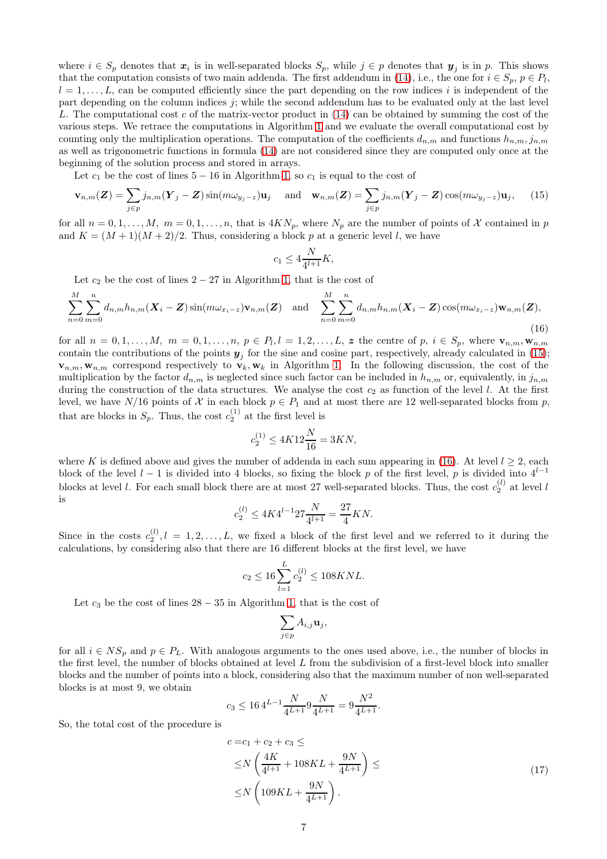where  $i \in S_p$  denotes that  $x_i$  is in well-separated blocks  $S_p$ , while  $j \in p$  denotes that  $y_j$  is in p. This shows that the computation consists of two main addenda. The first addendum in [\(14\)](#page-5-2), i.e., the one for  $i \in S_p$ ,  $p \in P_l$ ,  $l = 1, \ldots, L$ , can be computed efficiently since the part depending on the row indices i is independent of the part depending on the column indices  $j$ ; while the second addendum has to be evaluated only at the last level L. The computational cost c of the matrix-vector product in  $(14)$  can be obtained by summing the cost of the various steps. We retrace the computations in Algorithm [1](#page-5-1) and we evaluate the overall computational cost by counting only the multiplication operations. The computation of the coefficients  $d_{n,m}$  and functions  $h_{n,m}$ ,  $j_{n,m}$ as well as trigonometric functions in formula [\(14\)](#page-5-2) are not considered since they are computed only once at the beginning of the solution process and stored in arrays.

Let  $c_1$  be the cost of lines  $5 - 16$  in Algorithm [1,](#page-5-1) so  $c_1$  is equal to the cost of

<span id="page-6-0"></span>
$$
\mathbf{v}_{n,m}(Z) = \sum_{j \in p} j_{n,m}(Y_j - Z) \sin(m\omega_{y_j - z}) \mathbf{u}_j \quad \text{and} \quad \mathbf{w}_{n,m}(Z) = \sum_{j \in p} j_{n,m}(Y_j - Z) \cos(m\omega_{y_j - z}) \mathbf{u}_j, \tag{15}
$$

for all  $n = 0, 1, ..., M$ ,  $m = 0, 1, ..., n$ , that is  $4KN_p$ , where  $N_p$  are the number of points of X contained in p and  $K = (M + 1)(M + 2)/2$ . Thus, considering a block p at a generic level l, we have

$$
c_1 \le 4\frac{N}{4^{l+1}}K,
$$

Let  $c_2$  be the cost of lines  $2 - 27$  in Algorithm [1,](#page-5-1) that is the cost of

<span id="page-6-1"></span>
$$
\sum_{n=0}^{M} \sum_{m=0}^{n} d_{n,m} h_{n,m}(\boldsymbol{X}_i - \boldsymbol{Z}) \sin(m\omega_{x_i-z}) \mathbf{v}_{n,m}(\boldsymbol{Z}) \text{ and } \sum_{n=0}^{M} \sum_{m=0}^{n} d_{n,m} h_{n,m}(\boldsymbol{X}_i - \boldsymbol{Z}) \cos(m\omega_{x_i-z}) \mathbf{w}_{n,m}(\boldsymbol{Z}),
$$
\n(16)

for all  $n = 0, 1, \ldots, M$ ,  $m = 0, 1, \ldots, n$ ,  $p \in P_l, l = 1, 2, \ldots, L$ , z the centre of  $p, i \in S_p$ , where  $\mathbf{v}_{n,m}, \mathbf{w}_{n,m}$ contain the contributions of the points  $y_j$  for the sine and cosine part, respectively, already calculated in [\(15\)](#page-6-0);  $\mathbf{v}_{n,m},\mathbf{w}_{n,m}$  correspond respectively to  $\mathbf{v}_k,\mathbf{w}_k$  in Algorithm [1.](#page-5-1) In the following discussion, the cost of the multiplication by the factor  $d_{n,m}$  is neglected since such factor can be included in  $h_{n,m}$  or, equivalently, in  $j_{n,m}$ during the construction of the data structures. We analyse the cost  $c_2$  as function of the level l. At the first level, we have  $N/16$  points of X in each block  $p \in P_1$  and at most there are 12 well-separated blocks from p, that are blocks in  $S_p$ . Thus, the cost  $c_2^{(1)}$  at the first level is

$$
c^{(1)}_2 \leq 4K12 \frac{N}{16} = 3KN,
$$

where K is defined above and gives the number of addenda in each sum appearing in [\(16\)](#page-6-1). At level  $l \geq 2$ , each block of the level  $l-1$  is divided into 4 blocks, so fixing the block p of the first level, p is divided into  $4^{l-1}$ blocks at level l. For each small block there are at most 27 well-separated blocks. Thus, the cost  $c_2^{(l)}$  at level l is

$$
c_2^{(l)} \le 4K4^{l-1}27\frac{N}{4^{l+1}} = \frac{27}{4}KN.
$$

Since in the costs  $c_2^{(l)}$ ,  $l = 1, 2, ..., L$ , we fixed a block of the first level and we referred to it during the calculations, by considering also that there are 16 different blocks at the first level, we have

$$
c_2 \le 16 \sum_{l=1}^{L} c_2^{(l)} \le 108 K N L.
$$

Let  $c_3$  be the cost of lines  $28 - 35$  in Algorithm [1,](#page-5-1) that is the cost of

$$
\sum_{j\in p}A_{i,j}{\bf u}_j,
$$

for all  $i \in NS_p$  and  $p \in P_L$ . With analogous arguments to the ones used above, i.e., the number of blocks in the first level, the number of blocks obtained at level L from the subdivision of a first-level block into smaller blocks and the number of points into a block, considering also that the maximum number of non well-separated blocks is at most 9, we obtain

$$
c_3 \le 16 \, 4^{L-1} \frac{N}{4^{L+1}} 9 \frac{N}{4^{L+1}} = 9 \frac{N^2}{4^{L+1}}.
$$

So, the total cost of the procedure is

<span id="page-6-2"></span>
$$
c = c_1 + c_2 + c_3 \le
$$
  
\n
$$
\leq N \left( \frac{4K}{4^{l+1}} + 108KL + \frac{9N}{4^{L+1}} \right) \le
$$
  
\n
$$
\leq N \left( 109KL + \frac{9N}{4^{L+1}} \right).
$$
\n(17)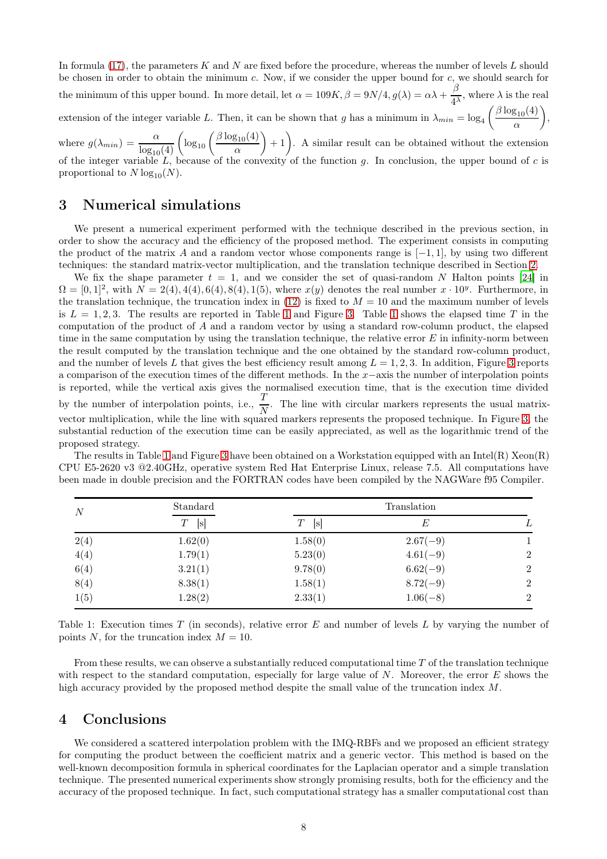<span id="page-7-3"></span>In formula  $(17)$ , the parameters K and N are fixed before the procedure, whereas the number of levels L should be chosen in order to obtain the minimum  $c$ . Now, if we consider the upper bound for  $c$ , we should search for the minimum of this upper bound. In more detail, let  $\alpha = 109K$ ,  $\beta = 9N/4$ ,  $g(\lambda) = \alpha\lambda + \frac{\beta}{\lambda}$  $\frac{\beta}{4^{\lambda}}$ , where  $\lambda$  is the real extension of the integer variable L. Then, it can be shown that g has a minimum in  $\lambda_{min} = \log_4 \left( \frac{\beta \log_{10}(4)}{\alpha} \right)$  $\bigg),$ 

α where  $g(\lambda_{min}) = \frac{\alpha}{\log_{10}(4)} \left( \log_{10} \left( \frac{\beta \log_{10}(4)}{\alpha} \right) \right)$ α  $+1$ . A similar result can be obtained without the extension of the integer variable  $L$ , because of the convexity of the function g. In conclusion, the upper bound of c is proportional to  $N \log_{10}(N)$ .

# <span id="page-7-0"></span>3 Numerical simulations

We present a numerical experiment performed with the technique described in the previous section, in order to show the accuracy and the efficiency of the proposed method. The experiment consists in computing the product of the matrix A and a random vector whose components range is  $[-1, 1]$ , by using two different techniques: the standard matrix-vector multiplication, and the translation technique described in Section [2.](#page-1-0)

We fix the shape parameter  $t = 1$ , and we consider the set of quasi-random N Halton points [\[24\]](#page-9-13) in  $\Omega = [0, 1]^2$ , with  $N = 2(4), 4(4), 6(4), 8(4), 1(5)$ , where  $x(y)$  denotes the real number  $x \cdot 10^y$ . Furthermore, in the translation technique, the truncation index in  $(12)$  is fixed to  $M = 10$  and the maximum number of levels is  $L = 1, 2, 3$  $L = 1, 2, 3$  $L = 1, 2, 3$ . The results are reported in Table 1 and Figure [3.](#page-8-8) Table 1 shows the elapsed time T in the computation of the product of A and a random vector by using a standard row-column product, the elapsed time in the same computation by using the translation technique, the relative error  $E$  in infinity-norm between the result computed by the translation technique and the one obtained by the standard row-column product, and the number of levels L that gives the best efficiency result among  $L = 1, 2, 3$  $L = 1, 2, 3$ . In addition, Figure 3 reports a comparison of the execution times of the different methods. In the x−axis the number of interpolation points is reported, while the vertical axis gives the normalised execution time, that is the execution time divided by the number of interpolation points, i.e.,  $\frac{T}{N}$ . The line with circular markers represents the usual matrixvector multiplication, while the line with squared markers represents the proposed technique. In Figure [3,](#page-8-8) the substantial reduction of the execution time can be easily appreciated, as well as the logarithmic trend of the proposed strategy.

The results in Table [1](#page-7-2) and Figure [3](#page-8-8) have been obtained on a Workstation equipped with an Intel(R) Xeon(R) CPU E5-2620 v3 @2.40GHz, operative system Red Hat Enterprise Linux, release 7.5. All computations have been made in double precision and the FORTRAN codes have been compiled by the NAGWare f95 Compiler.

<span id="page-7-2"></span>

| N    | Standard<br>[s]<br>T | Translation      |            |                |
|------|----------------------|------------------|------------|----------------|
|      |                      | Т<br>$ {\rm s} $ | E          | L              |
| 2(4) | 1.62(0)              | 1.58(0)          | $2.67(-9)$ |                |
| 4(4) | 1.79(1)              | 5.23(0)          | $4.61(-9)$ | 2              |
| 6(4) | 3.21(1)              | 9.78(0)          | $6.62(-9)$ | $\overline{2}$ |
| 8(4) | 8.38(1)              | 1.58(1)          | $8.72(-9)$ | 2              |
| 1(5) | 1.28(2)              | 2.33(1)          | $1.06(-8)$ | $\overline{2}$ |

Table 1: Execution times  $T$  (in seconds), relative error  $E$  and number of levels  $L$  by varying the number of points N, for the truncation index  $M = 10$ .

From these results, we can observe a substantially reduced computational time  $T$  of the translation technique with respect to the standard computation, especially for large value of  $N$ . Moreover, the error  $E$  shows the high accuracy provided by the proposed method despite the small value of the truncation index M.

### <span id="page-7-1"></span>4 Conclusions

We considered a scattered interpolation problem with the IMQ-RBFs and we proposed an efficient strategy for computing the product between the coefficient matrix and a generic vector. This method is based on the well-known decomposition formula in spherical coordinates for the Laplacian operator and a simple translation technique. The presented numerical experiments show strongly promising results, both for the efficiency and the accuracy of the proposed technique. In fact, such computational strategy has a smaller computational cost than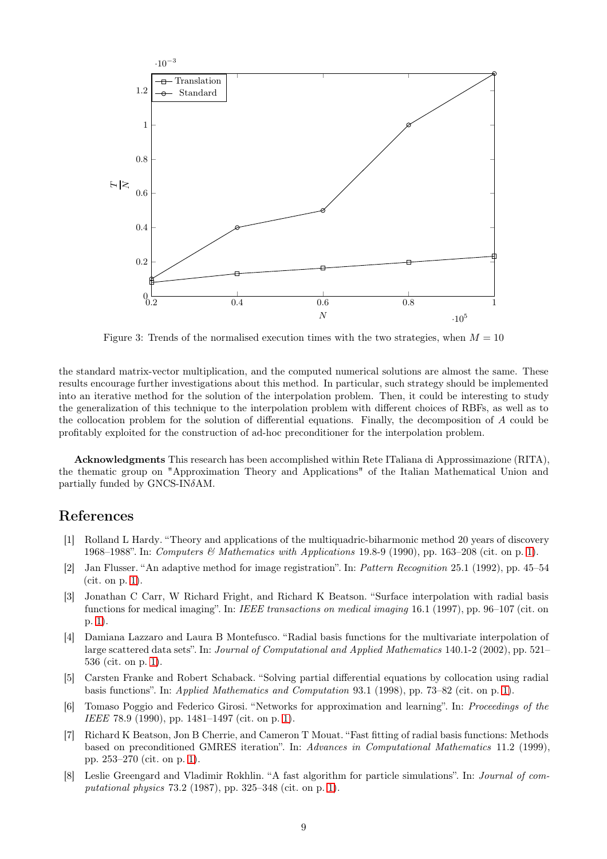<span id="page-8-8"></span>

Figure 3: Trends of the normalised execution times with the two strategies, when  $M = 10$ 

the standard matrix-vector multiplication, and the computed numerical solutions are almost the same. These results encourage further investigations about this method. In particular, such strategy should be implemented into an iterative method for the solution of the interpolation problem. Then, it could be interesting to study the generalization of this technique to the interpolation problem with different choices of RBFs, as well as to the collocation problem for the solution of differential equations. Finally, the decomposition of A could be profitably exploited for the construction of ad-hoc preconditioner for the interpolation problem.

Acknowledgments This research has been accomplished within Rete ITaliana di Approssimazione (RITA), the thematic group on "Approximation Theory and Applications" of the Italian Mathematical Union and partially funded by GNCS-INδAM.

### <span id="page-8-0"></span>References

- [1] Rolland L Hardy. "Theory and applications of the multiquadric-biharmonic method 20 years of discovery 1968–1988". In: *Computers & Mathematics with Applications* 19.8-9 (1990), pp. 163–208 (cit. on p. [1\)](#page-0-0).
- <span id="page-8-1"></span>[2] Jan Flusser. "An adaptive method for image registration". In: *Pattern Recognition* 25.1 (1992), pp. 45–54 (cit. on p. [1\)](#page-0-0).
- <span id="page-8-2"></span>[3] Jonathan C Carr, W Richard Fright, and Richard K Beatson. "Surface interpolation with radial basis functions for medical imaging". In: *IEEE transactions on medical imaging* 16.1 (1997), pp. 96–107 (cit. on p. [1\)](#page-0-0).
- <span id="page-8-3"></span>[4] Damiana Lazzaro and Laura B Montefusco. "Radial basis functions for the multivariate interpolation of large scattered data sets". In: *Journal of Computational and Applied Mathematics* 140.1-2 (2002), pp. 521– 536 (cit. on p. [1\)](#page-0-0).
- <span id="page-8-4"></span>[5] Carsten Franke and Robert Schaback. "Solving partial differential equations by collocation using radial basis functions". In: *Applied Mathematics and Computation* 93.1 (1998), pp. 73–82 (cit. on p. [1\)](#page-0-0).
- <span id="page-8-5"></span>[6] Tomaso Poggio and Federico Girosi. "Networks for approximation and learning". In: *Proceedings of the IEEE* 78.9 (1990), pp. 1481–1497 (cit. on p. [1\)](#page-0-0).
- <span id="page-8-6"></span>[7] Richard K Beatson, Jon B Cherrie, and Cameron T Mouat. "Fast fitting of radial basis functions: Methods based on preconditioned GMRES iteration". In: *Advances in Computational Mathematics* 11.2 (1999), pp. 253–270 (cit. on p. [1\)](#page-0-0).
- <span id="page-8-7"></span>[8] Leslie Greengard and Vladimir Rokhlin. "A fast algorithm for particle simulations". In: *Journal of computational physics* 73.2 (1987), pp. 325–348 (cit. on p. [1\)](#page-0-0).